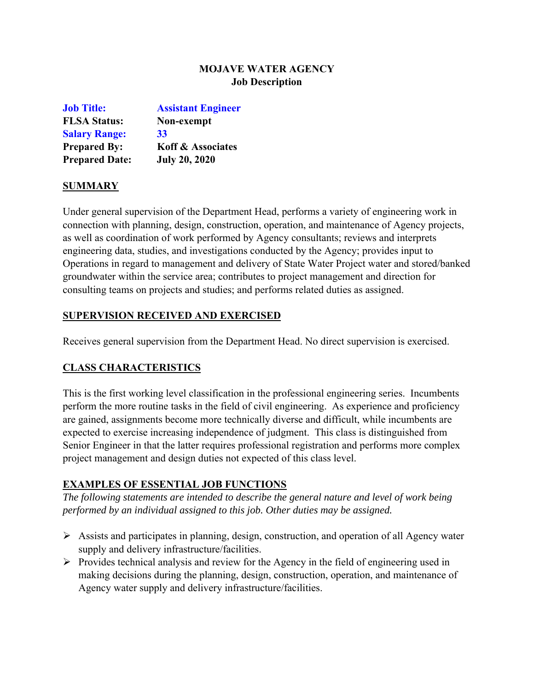# **MOJAVE WATER AGENCY Job Description**

| <b>Job Title:</b>     | <b>Assistant Engineer</b>    |
|-----------------------|------------------------------|
| <b>FLSA Status:</b>   | Non-exempt                   |
| <b>Salary Range:</b>  | 33                           |
| <b>Prepared By:</b>   | <b>Koff &amp; Associates</b> |
| <b>Prepared Date:</b> | <b>July 20, 2020</b>         |

#### **SUMMARY**

Under general supervision of the Department Head, performs a variety of engineering work in connection with planning, design, construction, operation, and maintenance of Agency projects, as well as coordination of work performed by Agency consultants; reviews and interprets engineering data, studies, and investigations conducted by the Agency; provides input to Operations in regard to management and delivery of State Water Project water and stored/banked groundwater within the service area; contributes to project management and direction for consulting teams on projects and studies; and performs related duties as assigned.

#### **SUPERVISION RECEIVED AND EXERCISED**

Receives general supervision from the Department Head. No direct supervision is exercised.

#### **CLASS CHARACTERISTICS**

This is the first working level classification in the professional engineering series. Incumbents perform the more routine tasks in the field of civil engineering. As experience and proficiency are gained, assignments become more technically diverse and difficult, while incumbents are expected to exercise increasing independence of judgment. This class is distinguished from Senior Engineer in that the latter requires professional registration and performs more complex project management and design duties not expected of this class level.

#### **EXAMPLES OF ESSENTIAL JOB FUNCTIONS**

*The following statements are intended to describe the general nature and level of work being performed by an individual assigned to this job. Other duties may be assigned.* 

- $\triangleright$  Assists and participates in planning, design, construction, and operation of all Agency water supply and delivery infrastructure/facilities.
- $\triangleright$  Provides technical analysis and review for the Agency in the field of engineering used in making decisions during the planning, design, construction, operation, and maintenance of Agency water supply and delivery infrastructure/facilities.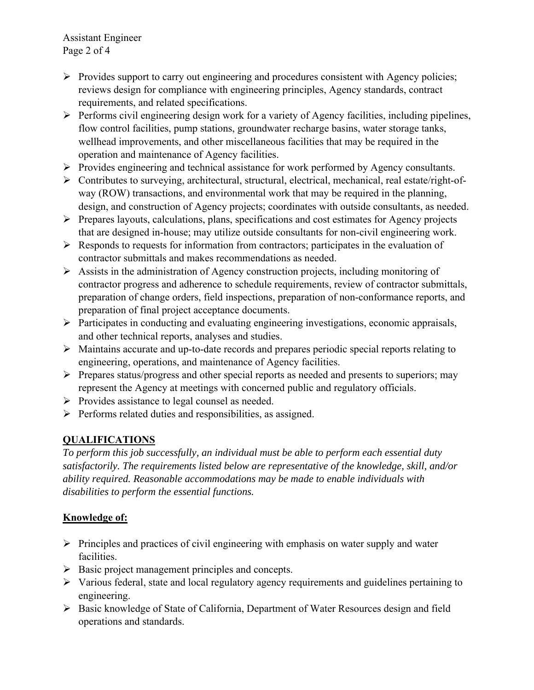Assistant Engineer Page 2 of 4

- $\triangleright$  Provides support to carry out engineering and procedures consistent with Agency policies; reviews design for compliance with engineering principles, Agency standards, contract requirements, and related specifications.
- $\triangleright$  Performs civil engineering design work for a variety of Agency facilities, including pipelines, flow control facilities, pump stations, groundwater recharge basins, water storage tanks, wellhead improvements, and other miscellaneous facilities that may be required in the operation and maintenance of Agency facilities.
- $\triangleright$  Provides engineering and technical assistance for work performed by Agency consultants.
- Contributes to surveying, architectural, structural, electrical, mechanical, real estate/right-ofway (ROW) transactions, and environmental work that may be required in the planning, design, and construction of Agency projects; coordinates with outside consultants, as needed.
- $\triangleright$  Prepares layouts, calculations, plans, specifications and cost estimates for Agency projects that are designed in-house; may utilize outside consultants for non-civil engineering work.
- $\triangleright$  Responds to requests for information from contractors; participates in the evaluation of contractor submittals and makes recommendations as needed.
- $\triangleright$  Assists in the administration of Agency construction projects, including monitoring of contractor progress and adherence to schedule requirements, review of contractor submittals, preparation of change orders, field inspections, preparation of non-conformance reports, and preparation of final project acceptance documents.
- $\triangleright$  Participates in conducting and evaluating engineering investigations, economic appraisals, and other technical reports, analyses and studies.
- $\triangleright$  Maintains accurate and up-to-date records and prepares periodic special reports relating to engineering, operations, and maintenance of Agency facilities.
- $\triangleright$  Prepares status/progress and other special reports as needed and presents to superiors; may represent the Agency at meetings with concerned public and regulatory officials.
- $\triangleright$  Provides assistance to legal counsel as needed.
- $\triangleright$  Performs related duties and responsibilities, as assigned.

# **QUALIFICATIONS**

*To perform this job successfully, an individual must be able to perform each essential duty satisfactorily. The requirements listed below are representative of the knowledge, skill, and/or ability required. Reasonable accommodations may be made to enable individuals with disabilities to perform the essential functions.* 

# **Knowledge of:**

- $\triangleright$  Principles and practices of civil engineering with emphasis on water supply and water facilities.
- $\triangleright$  Basic project management principles and concepts.
- $\triangleright$  Various federal, state and local regulatory agency requirements and guidelines pertaining to engineering.
- Basic knowledge of State of California, Department of Water Resources design and field operations and standards.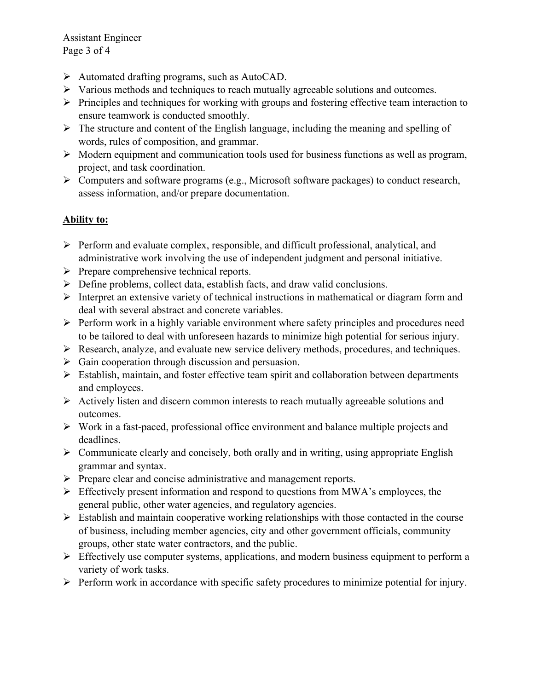Assistant Engineer Page 3 of 4

- Automated drafting programs, such as AutoCAD.
- $\triangleright$  Various methods and techniques to reach mutually agreeable solutions and outcomes.
- $\triangleright$  Principles and techniques for working with groups and fostering effective team interaction to ensure teamwork is conducted smoothly.
- $\triangleright$  The structure and content of the English language, including the meaning and spelling of words, rules of composition, and grammar.
- $\triangleright$  Modern equipment and communication tools used for business functions as well as program, project, and task coordination.
- $\triangleright$  Computers and software programs (e.g., Microsoft software packages) to conduct research, assess information, and/or prepare documentation.

# **Ability to:**

- Perform and evaluate complex, responsible, and difficult professional, analytical, and administrative work involving the use of independent judgment and personal initiative.
- $\triangleright$  Prepare comprehensive technical reports.
- $\triangleright$  Define problems, collect data, establish facts, and draw valid conclusions.
- $\triangleright$  Interpret an extensive variety of technical instructions in mathematical or diagram form and deal with several abstract and concrete variables.
- $\triangleright$  Perform work in a highly variable environment where safety principles and procedures need to be tailored to deal with unforeseen hazards to minimize high potential for serious injury.
- Research, analyze, and evaluate new service delivery methods, procedures, and techniques.
- $\triangleright$  Gain cooperation through discussion and persuasion.
- $\triangleright$  Establish, maintain, and foster effective team spirit and collaboration between departments and employees.
- $\triangleright$  Actively listen and discern common interests to reach mutually agreeable solutions and outcomes.
- $\triangleright$  Work in a fast-paced, professional office environment and balance multiple projects and deadlines.
- $\triangleright$  Communicate clearly and concisely, both orally and in writing, using appropriate English grammar and syntax.
- $\triangleright$  Prepare clear and concise administrative and management reports.
- $\triangleright$  Effectively present information and respond to questions from MWA's employees, the general public, other water agencies, and regulatory agencies.
- $\triangleright$  Establish and maintain cooperative working relationships with those contacted in the course of business, including member agencies, city and other government officials, community groups, other state water contractors, and the public.
- $\triangleright$  Effectively use computer systems, applications, and modern business equipment to perform a variety of work tasks.
- $\triangleright$  Perform work in accordance with specific safety procedures to minimize potential for injury.